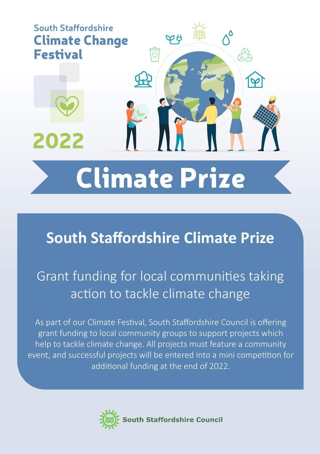

# **South Staffordshire Climate Prize**

# Grant funding for local communities taking action to tackle climate change

As part of our Climate Festival, South Staffordshire Council is offering grant funding to local community groups to support projects which help to tackle climate change. All projects must feature a community event, and successful projects will be entered into a mini competition for additional funding at the end of 2022.

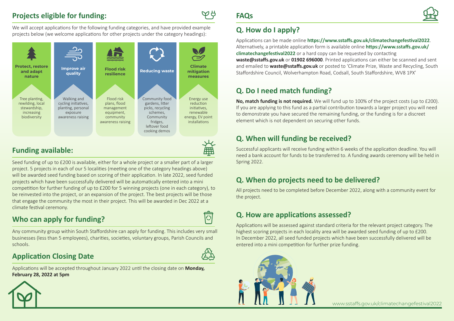#### **Projects eligible for funding:**

QЯ

We will accept applications for the following funding categories, and have provided example projects below (we welcome applications for other projects under the category headings):



#### **Funding available:**

Seed funding of up to £200 is available, either for a whole project or a smaller part of a larger project. 5 projects in each of our 5 localities (meeting one of the category headings above) will be awarded seed funding based on scoring of their application. In late 2022, seed funded projects which have been successfully delivered will be automatically entered into a mini competition for further funding of up to £200 for 5 winning projects (one in each category), to be reinvested into the project, or an expansion of the project. The best projects will be those that engage the community the most in their project. This will be awarded in Dec 2022 at a climate festival ceremony.

### **Who can apply for funding?**



Any community group within South Staffordshire can apply for funding. This includes very small businesses (less than 5 employees), charities, societies, voluntary groups, Parish Councils and schools.

#### **Application Closing Date**

Applications will be accepted throughout January 2022 until the closing date on **Monday, February 28, 2022 at 5pm**

## **FAQs**



#### **Q. How do I apply?**

Applications can be made online **https://www.sstaffs.gov.uk/climatechangefestival2022**. Alternatively, a printable application form is available online **https://www.sstaffs.gov.uk/ climatechangefestival2022** or a hard copy can be requested by contacting **waste@sstaffs.gov.uk** or **01902 696000**. Printed applications can either be scanned and sent and emailed to **waste@sstaffs.gov.uk** or posted to 'Climate Prize, Waste and Recycling, South Staffordshire Council, Wolverhampton Road, Codsall, South Staffordshire, WV8 1PX'

## **Q. Do I need match funding?**

**No, match funding is not required.** We will fund up to 100% of the project costs (up to £200). If you are applying to this fund as a partial contribution towards a larger project you will need to demonstrate you have secured the remaining funding, or the funding is for a discreet element which is not dependent on securing other funds.

#### **Q. When will funding be received?**

Successful applicants will receive funding within 6 weeks of the application deadline. You will need a bank account for funds to be transferred to. A funding awards ceremony will be held in Spring 2022.

#### **Q. When do projects need to be delivered?**

All projects need to be completed before December 2022, along with a community event for the project.

### **Q. How are applications assessed?**

Applications will be assessed against standard criteria for the relevant project category. The highest scoring projects in each locality area will be awarded seed funding of up to £200. In December 2022, all seed funded projects which have been successfully delivered will be entered into a mini competition for further prize funding.